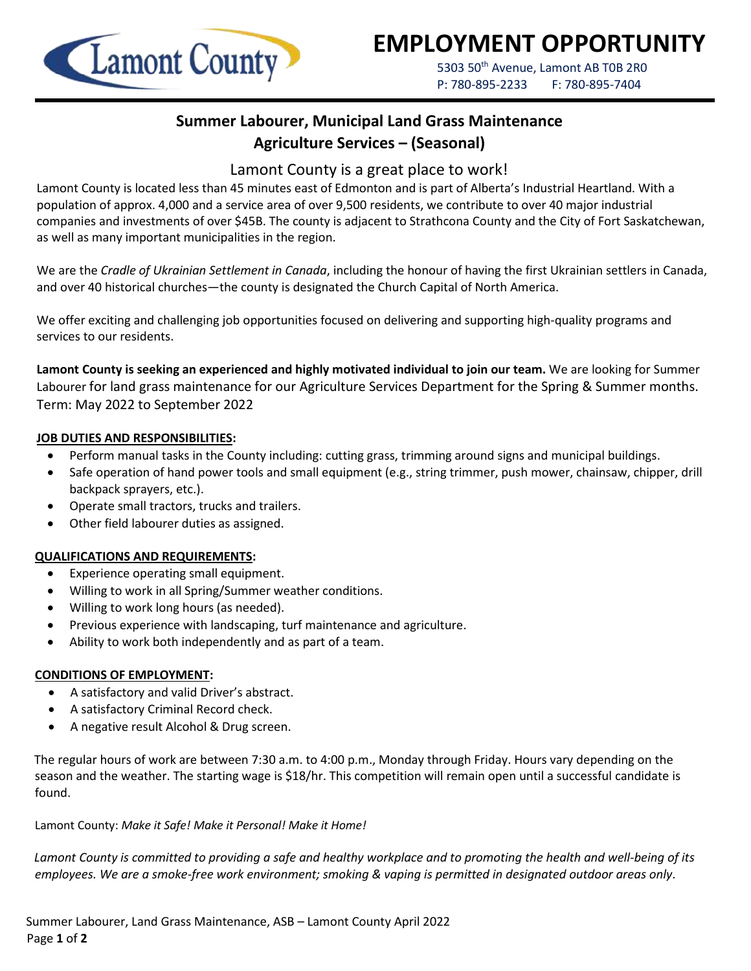

# **EMPLOYMENT OPPORTUNITY**

5303 50<sup>th</sup> Avenue, Lamont AB T0B 2R0 P: 780-895-2233 F: 780-895-7404

## **Summer Labourer, Municipal Land Grass Maintenance Agriculture Services – (Seasonal)**

### Lamont County is a great place to work!

Lamont County is located less than 45 minutes east of Edmonton and is part of Alberta's Industrial Heartland. With a population of approx. 4,000 and a service area of over 9,500 residents, we contribute to over 40 major industrial companies and investments of over \$45B. The county is adjacent to Strathcona County and the City of Fort Saskatchewan, as well as many important municipalities in the region.

We are the *Cradle of Ukrainian Settlement in Canada*, including the honour of having the first Ukrainian settlers in Canada, and over 40 historical churches—the county is designated the Church Capital of North America.

We offer exciting and challenging job opportunities focused on delivering and supporting high-quality programs and services to our residents.

**Lamont County is seeking an experienced and highly motivated individual to join our team.** We are looking for Summer Labourer for land grass maintenance for our Agriculture Services Department for the Spring & Summer months. Term: May 2022 to September 2022

#### **JOB DUTIES AND RESPONSIBILITIES:**

- Perform manual tasks in the County including: cutting grass, trimming around signs and municipal buildings.
- Safe operation of hand power tools and small equipment (e.g., string trimmer, push mower, chainsaw, chipper, drill backpack sprayers, etc.).
- Operate small tractors, trucks and trailers.
- Other field labourer duties as assigned.

#### **QUALIFICATIONS AND REQUIREMENTS:**

- Experience operating small equipment.
- Willing to work in all Spring/Summer weather conditions.
- Willing to work long hours (as needed).
- Previous experience with landscaping, turf maintenance and agriculture.
- Ability to work both independently and as part of a team.

#### **CONDITIONS OF EMPLOYMENT:**

- A satisfactory and valid Driver's abstract.
- A satisfactory Criminal Record check.
- A negative result Alcohol & Drug screen.

The regular hours of work are between 7:30 a.m. to 4:00 p.m., Monday through Friday. Hours vary depending on the season and the weather. The starting wage is \$18/hr. This competition will remain open until a successful candidate is found.

Lamont County: *Make it Safe! Make it Personal! Make it Home!*

*Lamont County is committed to providing a safe and healthy workplace and to promoting the health and well-being of its employees. We are a smoke-free work environment; smoking & vaping is permitted in designated outdoor areas only*.